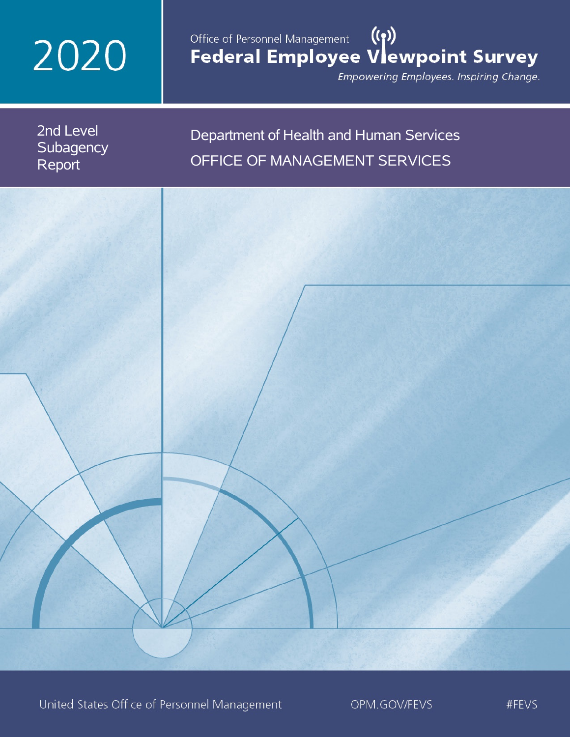# 2020

## Office of Personnel Management (())<br>Federal Employee Vlewpoint Survey

Empowering Employees. Inspiring Change.

2nd Level **Subagency** Report

## Department of Health and Human Services OFFICE OF MANAGEMENT SERVICES

United States Office of Personnel Management

OPM.GOV/FEVS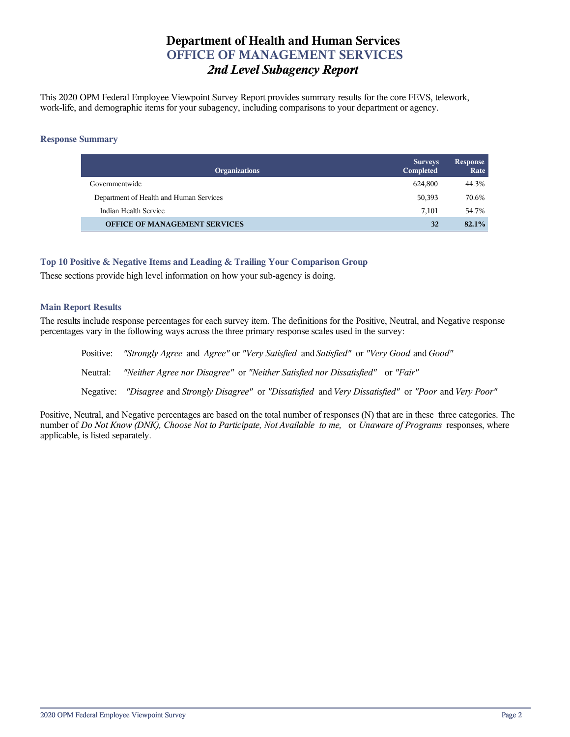## **Department of Health and Human Services OFFICE OF MANAGEMENT SERVICES** *2nd Level Subagency Report*

This 2020 OPM Federal Employee Viewpoint Survey Report provides summary results for the core FEVS, telework, work-life, and demographic items for your subagency, including comparisons to your department or agency.

### **Response Summary**

| <b>Organizations</b>                    | <b>Surveys</b><br>Completed | Response<br>Rate |
|-----------------------------------------|-----------------------------|------------------|
| Governmentwide                          | 624,800                     | 44.3%            |
| Department of Health and Human Services | 50,393                      | 70.6%            |
| Indian Health Service                   | 7.101                       | 54.7%            |
| <b>OFFICE OF MANAGEMENT SERVICES</b>    | 32                          | 82.1%            |

## **Top 10 Positive & Negative Items and Leading & Trailing Your Comparison Group**

These sections provide high level information on how your sub-agency is doing.

## **Main Report Results**

The results include response percentages for each survey item. The definitions for the Positive, Neutral, and Negative response percentages vary in the following ways across the three primary response scales used in the survey:

Positive: *"Strongly Agree* and *Agree"* or *"Very Satisfied* and *Satisfied"* or *"Very Good* and *Good"* Neutral: *"Neither Agree nor Disagree"* or *"Neither Satisfied nor Dissatisfied"* or *"Fair"* Negative: *"Disagree* and *Strongly Disagree"* or *"Dissatisfied* and *Very Dissatisfied"* or *"Poor* and *Very Poor"*

Positive, Neutral, and Negative percentages are based on the total number of responses (N) that are in these three categories. The number of *Do Not Know (DNK), Choose Not to Participate, Not Available to me,* or *Unaware of Programs* responses, where applicable, is listed separately.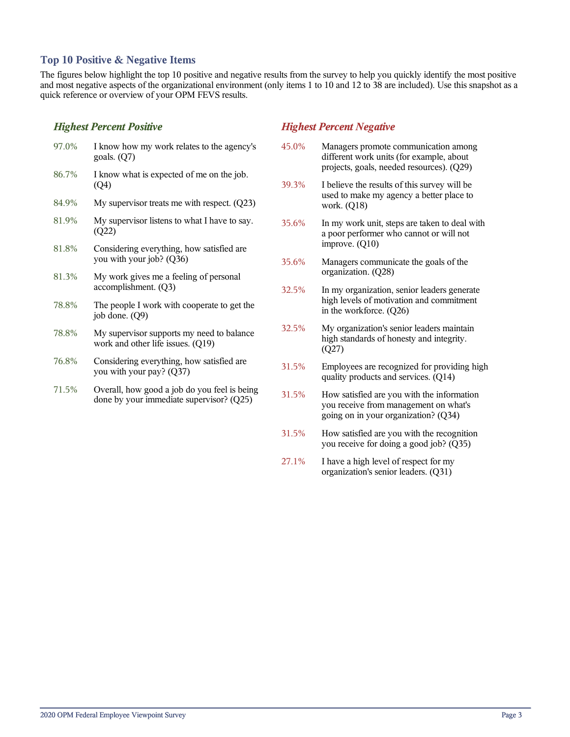## **Top 10 Positive & Negative Items**

The figures below highlight the top 10 positive and negative results from the survey to help you quickly identify the most positive and most negative aspects of the organizational environment (only items 1 to 10 and 12 to 38 are included). Use this snapshot as a quick reference or overview of your OPM FEVS results.

## *Highest Percent Positive*

| 97.0% | I know how my work relates to the agency's<br>goals. $(Q7)$                    |
|-------|--------------------------------------------------------------------------------|
| 86.7% | I know what is expected of me on the job.<br>(Q4)                              |
| 84.9% | My supervisor treats me with respect. $(Q23)$                                  |
| 81.9% | My supervisor listens to what I have to say.<br>(Q22)                          |
| 81.8% | Considering everything, how satisfied are<br>you with your job? (Q36)          |
| 81.3% | My work gives me a feeling of personal<br>accomplishment. (Q3)                 |
| 78.8% | The people I work with cooperate to get the<br>job done. $(Q9)$                |
| 78.8% | My supervisor supports my need to balance<br>work and other life issues. (Q19) |
| 76.8% | Considering everything, how satisfied are.<br>you with your pay? (Q37)         |

71.5% Overall, how good a job do you feel is being done by your immediate supervisor? (Q25)

## *Highest Percent Negative*

- 45.0% Managers promote communication among different work units (for example, about projects, goals, needed resources). (Q29)
- 39.3% I believe the results of this survey will be used to make my agency a better place to work. (Q18)
- 35.6% In my work unit, steps are taken to deal with a poor performer who cannot or will not improve. (Q10)
- 35.6% Managers communicate the goals of the organization. (Q28)
- 32.5% In my organization, senior leaders generate high levels of motivation and commitment in the workforce. (Q26)
- 32.5% My organization's senior leaders maintain high standards of honesty and integrity. (Q27)
- 31.5% Employees are recognized for providing high quality products and services. (Q14)
- 31.5% How satisfied are you with the information you receive from management on what's going on in your organization? (Q34)
- 31.5% How satisfied are you with the recognition you receive for doing a good job? (Q35)
- 27.1% I have a high level of respect for my organization's senior leaders. (Q31)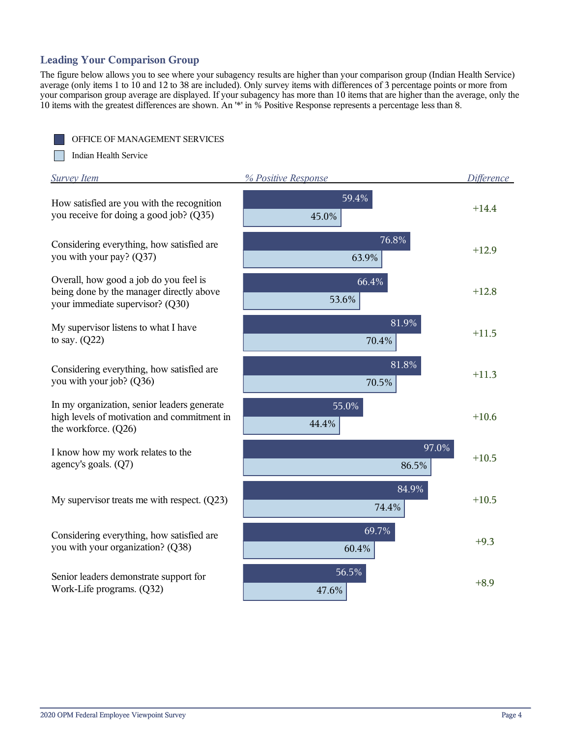## **Leading Your Comparison Group**

The figure below allows you to see where your subagency results are higher than your comparison group (Indian Health Service) average (only items 1 to 10 and 12 to 38 are included). Only survey items with differences of 3 percentage points or more from your comparison group average are displayed. If your subagency has more than 10 items that are higher than the average, only the 10 items with the greatest differences are shown. An '\*' in % Positive Response represents a percentage less than 8.



<u>rang</u> Indian Health Service

| <b>Survey Item</b>                                                                                                     | % Positive Response | <b>Difference</b> |
|------------------------------------------------------------------------------------------------------------------------|---------------------|-------------------|
| How satisfied are you with the recognition<br>you receive for doing a good job? (Q35)                                  | 59.4%<br>45.0%      | $+14.4$           |
| Considering everything, how satisfied are<br>you with your pay? (Q37)                                                  | 76.8%<br>63.9%      | $+12.9$           |
| Overall, how good a job do you feel is<br>being done by the manager directly above<br>your immediate supervisor? (Q30) | 66.4%<br>53.6%      | $+12.8$           |
| My supervisor listens to what I have<br>to say. $(Q22)$                                                                | 81.9%<br>70.4%      | $+11.5$           |
| Considering everything, how satisfied are<br>you with your job? (Q36)                                                  | 81.8%<br>70.5%      | $+11.3$           |
| In my organization, senior leaders generate<br>high levels of motivation and commitment in<br>the workforce. (Q26)     | 55.0%<br>44.4%      | $+10.6$           |
| I know how my work relates to the<br>agency's goals. (Q7)                                                              | 97.0%<br>86.5%      | $+10.5$           |
| My supervisor treats me with respect. $(Q23)$                                                                          | 84.9%<br>74.4%      | $+10.5$           |
| Considering everything, how satisfied are<br>you with your organization? (Q38)                                         | 69.7%<br>60.4%      | $+9.3$            |
| Senior leaders demonstrate support for<br>Work-Life programs. (Q32)                                                    | 56.5%<br>47.6%      | $+8.9$            |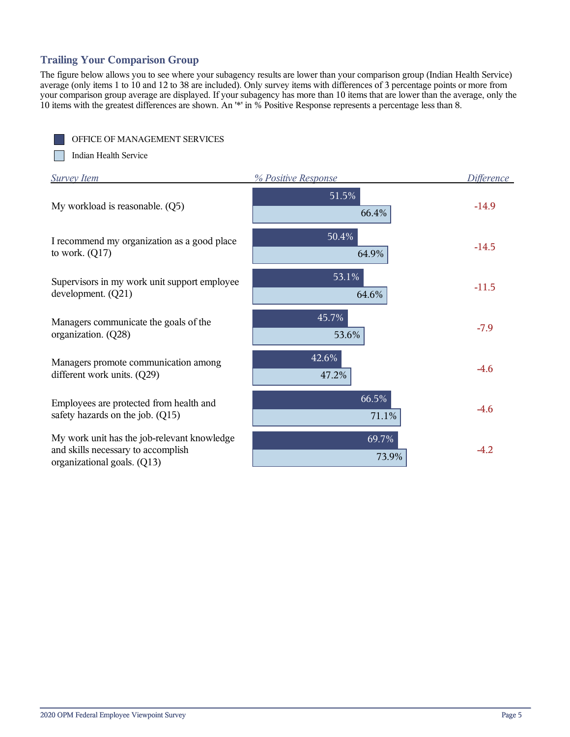## **Trailing Your Comparison Group**

The figure below allows you to see where your subagency results are lower than your comparison group (Indian Health Service) average (only items 1 to 10 and 12 to 38 are included). Only survey items with differences of 3 percentage points or more from your comparison group average are displayed. If your subagency has more than 10 items that are lower than the average, only the 10 items with the greatest differences are shown. An '\*' in % Positive Response represents a percentage less than 8.

OFFICE OF MANAGEMENT SERVICES

**The Street** Indian Health Service

| <b>Survey Item</b>                                                                                               | % Positive Response | Difference |
|------------------------------------------------------------------------------------------------------------------|---------------------|------------|
| My workload is reasonable. (Q5)                                                                                  | 51.5%<br>66.4%      | $-14.9$    |
| I recommend my organization as a good place<br>to work. $(Q17)$                                                  | 50.4%<br>64.9%      | $-14.5$    |
| Supervisors in my work unit support employee<br>development. $(Q21)$                                             | 53.1%<br>64.6%      | $-11.5$    |
| Managers communicate the goals of the<br>organization. (Q28)                                                     | 45.7%<br>53.6%      | $-7.9$     |
| Managers promote communication among<br>different work units. (Q29)                                              | 42.6%<br>47.2%      | $-4.6$     |
| Employees are protected from health and<br>safety hazards on the job. (Q15)                                      | 66.5%<br>71.1%      | $-4.6$     |
| My work unit has the job-relevant knowledge<br>and skills necessary to accomplish<br>organizational goals. (Q13) | 69.7%<br>73.9%      | $-4.2$     |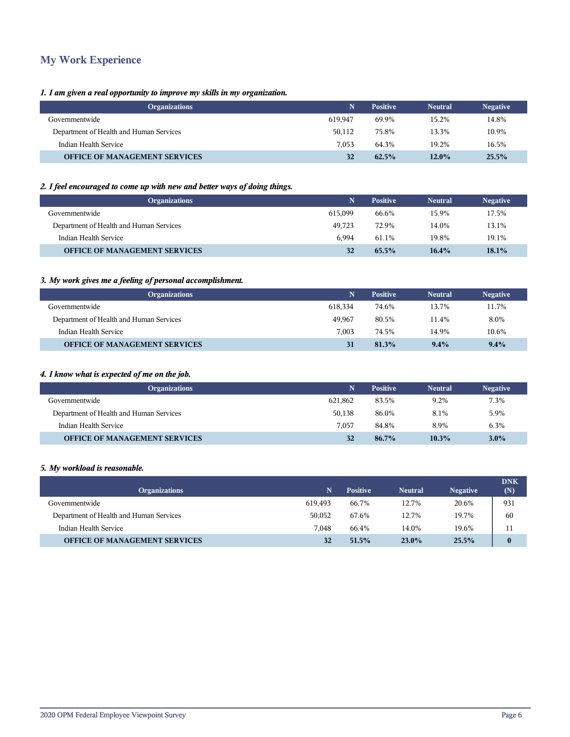## **My Work Experience**

### *1. I am given a real opportunity to improve my skills in my organization.*

| <b>Organizations</b>                    |         | <b>Positive</b> | <b>Neutral</b> | <b>Negative</b> |
|-----------------------------------------|---------|-----------------|----------------|-----------------|
| Governmentwide                          | 619.947 | 69.9%           | 15.2%          | 14.8%           |
| Department of Health and Human Services | 50,112  | 75.8%           | 13.3%          | 10.9%           |
| Indian Health Service                   | 7.053   | 64.3%           | 19.2%          | 16.5%           |
| <b>OFFICE OF MANAGEMENT SERVICES</b>    | 32      | 62.5%           | $12.0\%$       | 25.5%           |

## *2. I feel encouraged to come up with new and better ways of doing things.*

| <b>Organizations</b>                    | N       | <b>Positive</b> | <b>Neutral</b> | <b>Negative</b> |
|-----------------------------------------|---------|-----------------|----------------|-----------------|
| Governmentwide                          | 615.099 | 66.6%           | 15.9%          | 17.5%           |
| Department of Health and Human Services | 49.723  | 72.9%           | 14.0%          | 13.1%           |
| Indian Health Service                   | 6.994   | 61.1%           | 19.8%          | 19.1%           |
| <b>OFFICE OF MANAGEMENT SERVICES</b>    | 32      | 65.5%           | 16.4%          | 18.1%           |

## *3. My work gives me a feeling of personal accomplishment.*

| <b>Organizations</b>                    |         | <b>Positive</b> | <b>Neutral</b> | <b>Negative</b> |
|-----------------------------------------|---------|-----------------|----------------|-----------------|
| Governmentwide                          | 618.334 | 74.6%           | 13.7%          | 11.7%           |
| Department of Health and Human Services | 49.967  | 80.5%           | 11.4%          | 8.0%            |
| Indian Health Service                   | 7.003   | 74.5%           | 14.9%          | 10.6%           |
| <b>OFFICE OF MANAGEMENT SERVICES</b>    | 31      | 81.3%           | 9.4%           | $9.4\%$         |

## *4. I know what is expected of me on the job.*

| <b>Organizations</b>                    |         | <b>Positive</b> | <b>Neutral</b> | <b>Negative</b> |
|-----------------------------------------|---------|-----------------|----------------|-----------------|
| Governmentwide                          | 621.862 | 83.5%           | 9.2%           | 7.3%            |
| Department of Health and Human Services | 50.138  | 86.0%           | 8.1%           | 5.9%            |
| Indian Health Service                   | 7.057   | 84.8%           | 8.9%           | 6.3%            |
| <b>OFFICE OF MANAGEMENT SERVICES</b>    | 32      | 86.7%           | $10.3\%$       | $3.0\%$         |

#### *5. My workload is reasonable.*

| <b>Organizations</b>                    | N       | <b>Positive</b> | <b>Neutral</b> | <b>Negative</b> | <b>DNK</b><br>(N) |
|-----------------------------------------|---------|-----------------|----------------|-----------------|-------------------|
| Governmentwide                          | 619.493 | 66.7%           | 12.7%          | 20.6%           | 931               |
| Department of Health and Human Services | 50,052  | 67.6%           | 12.7%          | 19.7%           | 60                |
| Indian Health Service                   | 7.048   | 66.4%           | 14.0%          | 19.6%           | 11                |
| <b>OFFICE OF MANAGEMENT SERVICES</b>    | 32      | 51.5%           | $23.0\%$       | 25.5%           | $\bf{0}$          |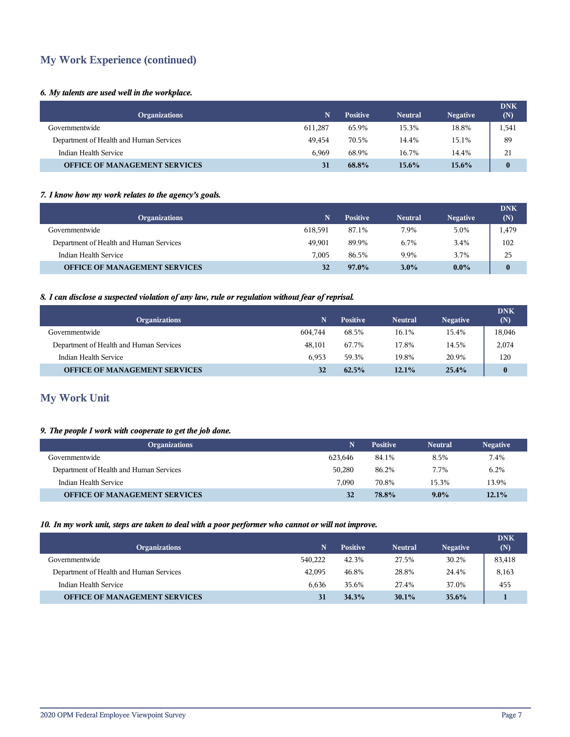## **My Work Experience (continued)**

## *6. My talents are used well in the workplace.*

| <b>Organizations</b>                    | N.      | <b>Positive</b> | <b>Neutral</b> | <b>Negative</b> | <b>DNK</b><br>(N) |
|-----------------------------------------|---------|-----------------|----------------|-----------------|-------------------|
| Governmentwide                          | 611.287 | 65.9%           | 15.3%          | 18.8%           | 1,541             |
| Department of Health and Human Services | 49.454  | 70.5%           | 14.4%          | 15.1%           | 89                |
| Indian Health Service                   | 6.969   | 68.9%           | 16.7%          | 14.4%           | 21                |
| <b>OFFICE OF MANAGEMENT SERVICES</b>    | 31      | 68.8%           | $15.6\%$       | $15.6\%$        | $\mathbf{0}$      |

### *7. I know how my work relates to the agency's goals.*

| <b>Organizations</b>                    | 'N.     | <b>Positive</b> | <b>Neutral</b> | <b>Negative</b> | <b>DNK</b><br>(N) |
|-----------------------------------------|---------|-----------------|----------------|-----------------|-------------------|
| Governmentwide                          | 618.591 | 87.1%           | 7.9%           | 5.0%            | 1,479             |
| Department of Health and Human Services | 49.901  | 89.9%           | 6.7%           | 3.4%            | 102               |
| Indian Health Service                   | 7.005   | 86.5%           | 9.9%           | 3.7%            | 25                |
| <b>OFFICE OF MANAGEMENT SERVICES</b>    | 32      | $97.0\%$        | $3.0\%$        | $0.0\%$         | $\mathbf{0}$      |

## *8. I can disclose a suspected violation of any law, rule or regulation without fear of reprisal.*

| <b>Organizations</b>                    | N       | <b>Positive</b> | <b>Neutral</b> | <b>Negative</b> | <b>DNK</b><br>(N) |
|-----------------------------------------|---------|-----------------|----------------|-----------------|-------------------|
| Governmentwide                          | 604.744 | 68.5%           | 16.1%          | 15.4%           | 18,046            |
| Department of Health and Human Services | 48.101  | 67.7%           | 17.8%          | 14.5%           | 2,074             |
| Indian Health Service                   | 6.953   | 59.3%           | 19.8%          | 20.9%           | 120               |
| <b>OFFICE OF MANAGEMENT SERVICES</b>    | 32      | 62.5%           | $12.1\%$       | 25.4%           | $\bf{0}$          |

## **My Work Unit**

## *9. The people I work with cooperate to get the job done.*

| <b>Organizations</b>                    |         | <b>Positive</b> | <b>Neutral</b> | <b>Negative</b> |
|-----------------------------------------|---------|-----------------|----------------|-----------------|
| Governmentwide                          | 623.646 | 84.1%           | 8.5%           | 7.4%            |
| Department of Health and Human Services | 50,280  | 86.2%           | 7.7%           | 6.2%            |
| Indian Health Service                   | 7.090   | 70.8%           | 15.3%          | 13.9%           |
| <b>OFFICE OF MANAGEMENT SERVICES</b>    | 32      | 78.8%           | $9.0\%$        | 12.1%           |

## *10. In my work unit, steps are taken to deal with a poor performer who cannot or will not improve.*

| <b>Organizations</b>                    | N       | <b>Positive</b> | <b>Neutral</b> | <b>Negative</b> | <b>DNK</b><br>(N) |
|-----------------------------------------|---------|-----------------|----------------|-----------------|-------------------|
| Governmentwide                          | 540,222 | 42.3%           | 27.5%          | 30.2%           | 83,418            |
| Department of Health and Human Services | 42,095  | 46.8%           | 28.8%          | 24.4%           | 8,163             |
| Indian Health Service                   | 6.636   | 35.6%           | 27.4%          | 37.0%           | 455               |
| <b>OFFICE OF MANAGEMENT SERVICES</b>    |         | 34.3%           | 30.1%          | 35.6%           |                   |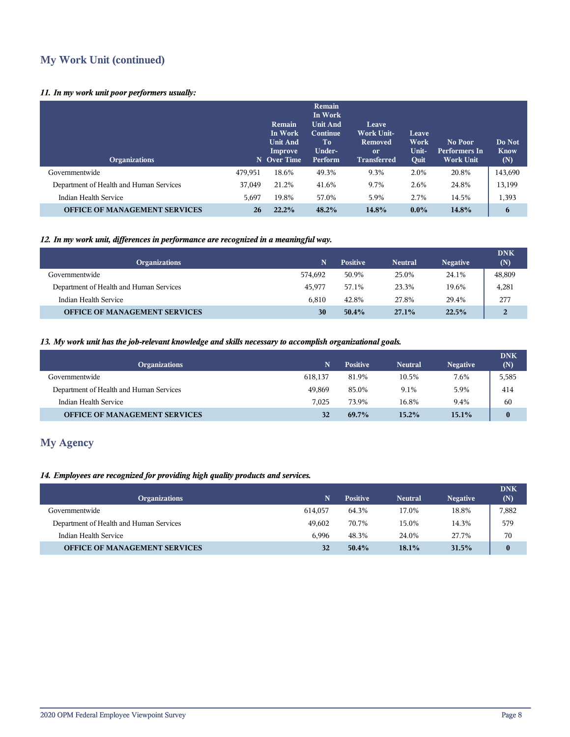## **My Work Unit (continued)**

## *11. In my work unit poor performers usually:*

| <b>Organizations</b>                    | N       | Remain<br>In Work<br><b>Unit And</b><br>Improve<br><b>Over Time</b> | <b>Remain</b><br>In Work<br><b>Unit And</b><br>Continue<br>To<br>Under-<br>Perform | Leave<br><b>Work Unit-</b><br>Removed<br><sub>or</sub><br><b>Transferred</b> | Leave<br>Work<br>Unit-<br>Quit | No Poor<br><b>Performers In</b><br><b>Work Unit</b> | Do Not<br><b>Know</b><br>(N) |
|-----------------------------------------|---------|---------------------------------------------------------------------|------------------------------------------------------------------------------------|------------------------------------------------------------------------------|--------------------------------|-----------------------------------------------------|------------------------------|
| Governmentwide                          | 479,951 | 18.6%                                                               | 49.3%                                                                              | 9.3%                                                                         | 2.0%                           | 20.8%                                               | 143,690                      |
| Department of Health and Human Services | 37,049  | 21.2%                                                               | 41.6%                                                                              | 9.7%                                                                         | 2.6%                           | 24.8%                                               | 13,199                       |
| Indian Health Service                   | 5,697   | 19.8%                                                               | 57.0%                                                                              | 5.9%                                                                         | 2.7%                           | 14.5%                                               | 1,393                        |
| <b>OFFICE OF MANAGEMENT SERVICES</b>    | 26      | 22.2%                                                               | 48.2%                                                                              | 14.8%                                                                        | $0.0\%$                        | 14.8%                                               | 6                            |

## *12. In my work unit, differences in performance are recognized in a meaningful way.*

| <b>Organizations</b>                    | N       | <b>Positive</b> | <b>Neutral</b> | <b>Negative</b> | <b>DNK</b><br>(N) |
|-----------------------------------------|---------|-----------------|----------------|-----------------|-------------------|
| Governmentwide                          | 574.692 | 50.9%           | 25.0%          | 24.1%           | 48,809            |
| Department of Health and Human Services | 45.977  | 57.1%           | 23.3%          | 19.6%           | 4,281             |
| Indian Health Service                   | 6.810   | 42.8%           | 27.8%          | 29.4%           | 277               |
| <b>OFFICE OF MANAGEMENT SERVICES</b>    | 30      | 50.4%           | 27.1%          | 22.5%           | 2                 |

#### *13. My work unit has the job-relevant knowledge and skills necessary to accomplish organizational goals.*

| <b>Organizations</b>                    | N       | <b>Positive</b> | <b>Neutral</b> | <b>Negative</b> | <b>DNK</b><br>(N) |
|-----------------------------------------|---------|-----------------|----------------|-----------------|-------------------|
| Governmentwide                          | 618.137 | 81.9%           | 10.5%          | 7.6%            | 5,585             |
| Department of Health and Human Services | 49.869  | 85.0%           | 9.1%           | 5.9%            | 414               |
| Indian Health Service                   | 7.025   | 73.9%           | 16.8%          | 9.4%            | 60                |
| <b>OFFICE OF MANAGEMENT SERVICES</b>    | 32      | 69.7%           | $15.2\%$       | 15.1%           | $\bf{0}$          |

## **My Agency**

## *14. Employees are recognized for providing high quality products and services.*

| <b>Organizations</b>                    | N       | <b>Positive</b> | <b>Neutral</b> | <b>Negative</b> | <b>DNK</b><br>(N) |
|-----------------------------------------|---------|-----------------|----------------|-----------------|-------------------|
| Governmentwide                          | 614.057 | 64.3%           | 17.0%          | 18.8%           | 7,882             |
| Department of Health and Human Services | 49.602  | 70.7%           | 15.0%          | 14.3%           | 579               |
| Indian Health Service                   | 6.996   | 48.3%           | 24.0%          | 27.7%           | 70                |
| <b>OFFICE OF MANAGEMENT SERVICES</b>    | 32      | $50.4\%$        | $18.1\%$       | 31.5%           | $\bf{0}$          |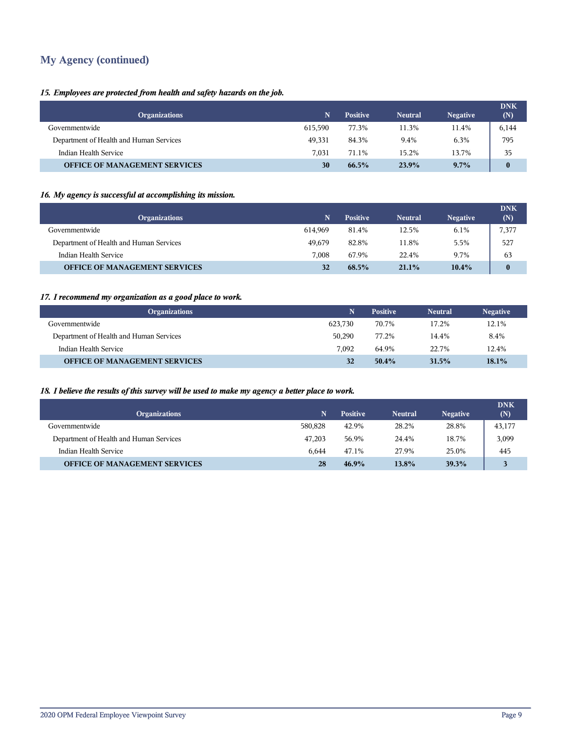## **My Agency (continued)**

## *15. Employees are protected from health and safety hazards on the job.*

| <b>Organizations</b>                    | 'N.     | <b>Positive</b> | <b>Neutral</b> | <b>Negative</b> | <b>DNK</b><br>(N) |
|-----------------------------------------|---------|-----------------|----------------|-----------------|-------------------|
| Governmentwide                          | 615.590 | 77.3%           | 11.3%          | 11.4%           | 6,144             |
| Department of Health and Human Services | 49.331  | 84.3%           | 9.4%           | 6.3%            | 795               |
| Indian Health Service                   | 7.031   | 71.1%           | 15.2%          | 13.7%           | 35                |
| <b>OFFICE OF MANAGEMENT SERVICES</b>    | 30      | 66.5%           | 23.9%          | $9.7\%$         | $\mathbf{0}$      |

## *16. My agency is successful at accomplishing its mission.*

| <b>Organizations</b>                    | N       | <b>Positive</b> | <b>Neutral</b> | <b>Negative</b> | <b>DNK</b><br>(N) |
|-----------------------------------------|---------|-----------------|----------------|-----------------|-------------------|
| Governmentwide                          | 614.969 | 81.4%           | 12.5%          | 6.1%            | 7,377             |
| Department of Health and Human Services | 49.679  | 82.8%           | 11.8%          | 5.5%            | 527               |
| Indian Health Service                   | 7.008   | 67.9%           | 22.4%          | 9.7%            | 63                |
| <b>OFFICE OF MANAGEMENT SERVICES</b>    | 32      | 68.5%           | 21.1%          | 10.4%           | $\mathbf{0}$      |

## *17. I recommend my organization as a good place to work.*

| <b>Organizations</b>                    | N.      | <b>Positive</b> | <b>Neutral</b> | <b>Negative</b> |
|-----------------------------------------|---------|-----------------|----------------|-----------------|
| Governmentwide                          | 623.730 | 70.7%           | 17.2%          | 12.1%           |
| Department of Health and Human Services | 50.290  | 77.2%           | 14.4%          | 8.4%            |
| Indian Health Service                   | 7.092   | 64.9%           | 22.7%          | 12.4%           |
| <b>OFFICE OF MANAGEMENT SERVICES</b>    | 32      | $50.4\%$        | 31.5%          | $18.1\%$        |

## *18. I believe the results of this survey will be used to make my agency a better place to work.*

| <b>Organizations</b>                    | N       | <b>Positive</b> | <b>Neutral</b> | <b>Negative</b> | <b>DNK</b><br>(N) |
|-----------------------------------------|---------|-----------------|----------------|-----------------|-------------------|
| Governmentwide                          | 580,828 | 42.9%           | 28.2%          | 28.8%           | 43,177            |
| Department of Health and Human Services | 47.203  | 56.9%           | 24.4%          | 18.7%           | 3,099             |
| Indian Health Service                   | 6.644   | 47.1%           | 27.9%          | 25.0%           | 445               |
| <b>OFFICE OF MANAGEMENT SERVICES</b>    | 28      | 46.9%           | 13.8%          | 39.3%           |                   |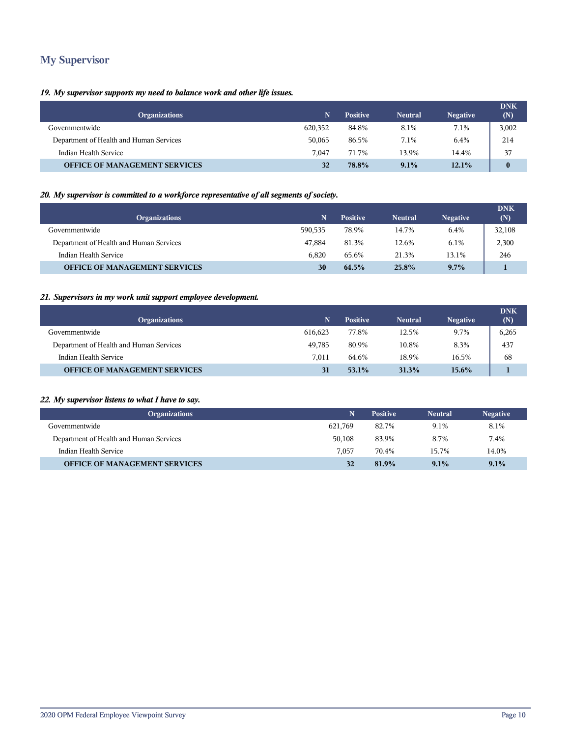## **My Supervisor**

## *19. My supervisor supports my need to balance work and other life issues.*

| <b>Organizations</b>                    | N.      | <b>Positive</b> | <b>Neutral</b> | <b>Negative</b> | <b>DNK</b><br>(N) |
|-----------------------------------------|---------|-----------------|----------------|-----------------|-------------------|
| Governmentwide                          | 620,352 | 84.8%           | 8.1%           | 7.1%            | 3,002             |
| Department of Health and Human Services | 50.065  | 86.5%           | 7.1%           | 6.4%            | 214               |
| Indian Health Service                   | 7.047   | 71.7%           | 13.9%          | 14.4%           | 37                |
| <b>OFFICE OF MANAGEMENT SERVICES</b>    | 32      | 78.8%           | 9.1%           | 12.1%           | $\mathbf{0}$      |

## *20. My supervisor is committed to a workforce representative of all segments of society.*

| <b>Organizations</b>                    | N       | <b>Positive</b> | Neutral | <b>Negative</b> | <b>DNK</b><br>(N) |
|-----------------------------------------|---------|-----------------|---------|-----------------|-------------------|
| Governmentwide                          | 590.535 | 78.9%           | 14.7%   | 6.4%            | 32,108            |
| Department of Health and Human Services | 47.884  | 81.3%           | 12.6%   | 6.1%            | 2,300             |
| Indian Health Service                   | 6.820   | 65.6%           | 21.3%   | 13.1%           | 246               |
| <b>OFFICE OF MANAGEMENT SERVICES</b>    | 30      | 64.5%           | 25.8%   | $9.7\%$         |                   |

## *21. Supervisors in my work unit support employee development.*

| <b>Organizations</b>                    | N       | <b>Positive</b> | <b>Neutral</b> | <b>Negative</b> | <b>DNK</b><br>(N) |
|-----------------------------------------|---------|-----------------|----------------|-----------------|-------------------|
| Governmentwide                          | 616.623 | 77.8%           | 12.5%          | 9.7%            | 6,265             |
| Department of Health and Human Services | 49.785  | 80.9%           | 10.8%          | 8.3%            | 437               |
| Indian Health Service                   | 7.011   | 64.6%           | 18.9%          | 16.5%           | 68                |
| <b>OFFICE OF MANAGEMENT SERVICES</b>    | 31      | 53.1%           | 31.3%          | $15.6\%$        |                   |

## *22. My supervisor listens to what I have to say.*

| <b>Organizations</b>                    |         | <b>Positive</b> | <b>Neutral</b> | <b>Negative</b> |
|-----------------------------------------|---------|-----------------|----------------|-----------------|
| Governmentwide                          | 621.769 | 82.7%           | 9.1%           | 8.1%            |
| Department of Health and Human Services | 50.108  | 83.9%           | 8.7%           | 7.4%            |
| Indian Health Service                   | 7.057   | 70.4%           | 15.7%          | 14.0%           |
| <b>OFFICE OF MANAGEMENT SERVICES</b>    | 32      | 81.9%           | $9.1\%$        | 9.1%            |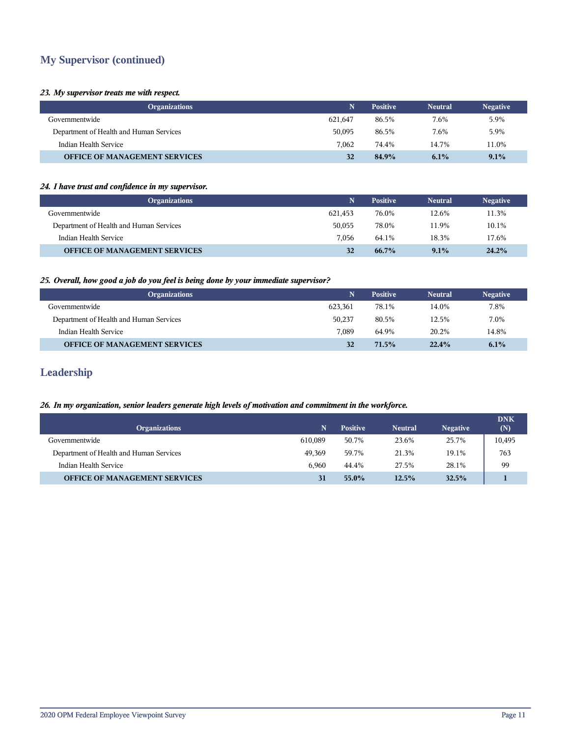## **My Supervisor (continued)**

#### *23. My supervisor treats me with respect.*

| <b>Organizations</b>                    |         | <b>Positive</b> | <b>Neutral</b> | <b>Negative</b> |
|-----------------------------------------|---------|-----------------|----------------|-----------------|
| Governmentwide                          | 621.647 | 86.5%           | 7.6%           | 5.9%            |
| Department of Health and Human Services | 50,095  | 86.5%           | 7.6%           | 5.9%            |
| Indian Health Service                   | 7.062   | 74.4%           | 14.7%          | 11.0%           |
| <b>OFFICE OF MANAGEMENT SERVICES</b>    | 32      | 84.9%           | 6.1%           | 9.1%            |

### *24. I have trust and confidence in my supervisor.*

| <b>Organizations</b>                    |         | <b>Positive</b> | <b>Neutral</b> | <b>Negative</b> |
|-----------------------------------------|---------|-----------------|----------------|-----------------|
| Governmentwide                          | 621.453 | 76.0%           | 12.6%          | 11.3%           |
| Department of Health and Human Services | 50,055  | 78.0%           | 11.9%          | 10.1%           |
| Indian Health Service                   | 7.056   | 64.1%           | 18.3%          | 17.6%           |
| <b>OFFICE OF MANAGEMENT SERVICES</b>    | 32      | $66.7\%$        | $9.1\%$        | 24.2%           |

## *25. Overall, how good a job do you feel is being done by your immediate supervisor?*

| <b>Organizations</b>                    |         | <b>Positive</b> | <b>Neutral</b> | <b>Negative</b> |
|-----------------------------------------|---------|-----------------|----------------|-----------------|
| Governmentwide                          | 623.361 | 78.1%           | 14.0%          | 7.8%            |
| Department of Health and Human Services | 50,237  | 80.5%           | 12.5%          | 7.0%            |
| Indian Health Service                   | 7.089   | 64.9%           | 20.2%          | 14.8%           |
| <b>OFFICE OF MANAGEMENT SERVICES</b>    | 32      | 71.5%           | 22.4%          | 6.1%            |

## **Leadership**

## *26. In my organization, senior leaders generate high levels of motivation and commitment in the workforce.*

| <b>Organizations</b>                    |         | <b>Positive</b> | <b>Neutral</b> | <b>Negative</b> | <b>DNK</b><br>(N) |
|-----------------------------------------|---------|-----------------|----------------|-----------------|-------------------|
| Governmentwide                          | 610,089 | 50.7%           | 23.6%          | 25.7%           | 10,495            |
| Department of Health and Human Services | 49.369  | 59.7%           | 21.3%          | 19.1%           | 763               |
| Indian Health Service                   | 6.960   | 44.4%           | 27.5%          | 28.1%           | 99                |
| <b>OFFICE OF MANAGEMENT SERVICES</b>    |         | 55.0%           | 12.5%          | 32.5%           |                   |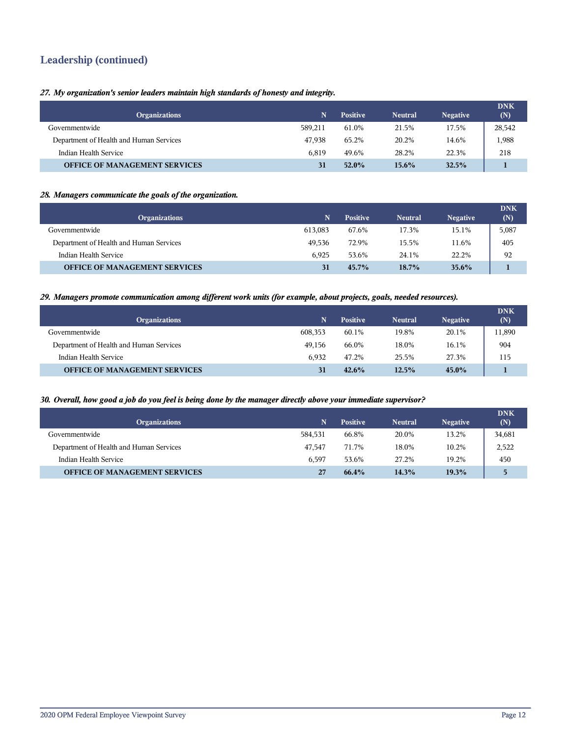## **Leadership (continued)**

*27. My organization's senior leaders maintain high standards of honesty and integrity.*

| <b>Organizations</b>                    | N       | <b>Positive</b> | <b>Neutral</b> | <b>Negative</b> | <b>DNK</b><br>(N) |
|-----------------------------------------|---------|-----------------|----------------|-----------------|-------------------|
| Governmentwide                          | 589,211 | 61.0%           | 21.5%          | 17.5%           | 28,542            |
| Department of Health and Human Services | 47.938  | 65.2%           | 20.2%          | 14.6%           | 1,988             |
| Indian Health Service                   | 6.819   | 49.6%           | 28.2%          | 22.3%           | 218               |
| <b>OFFICE OF MANAGEMENT SERVICES</b>    | 31      | $52.0\%$        | $15.6\%$       | 32.5%           |                   |

### *28. Managers communicate the goals of the organization.*

| <b>Organizations</b>                    | N       | <b>Positive</b> | <b>Neutral</b> | <b>Negative</b> | <b>DNK</b><br>(N) |
|-----------------------------------------|---------|-----------------|----------------|-----------------|-------------------|
| Governmentwide                          | 613.083 | 67.6%           | 17.3%          | 15.1%           | 5,087             |
| Department of Health and Human Services | 49.536  | 72.9%           | 15.5%          | 11.6%           | 405               |
| Indian Health Service                   | 6.925   | 53.6%           | 24.1%          | 22.2%           | 92                |
| <b>OFFICE OF MANAGEMENT SERVICES</b>    | 31      | $45.7\%$        | $18.7\%$       | $35.6\%$        |                   |

#### *29. Managers promote communication among different work units (for example, about projects, goals, needed resources).*

| <b>Organizations</b>                    | N       | <b>Positive</b> | <b>Neutral</b> | <b>Negative</b> | <b>DNK</b><br>(N) |
|-----------------------------------------|---------|-----------------|----------------|-----------------|-------------------|
| Governmentwide                          | 608,353 | 60.1%           | 19.8%          | 20.1%           | 11,890            |
| Department of Health and Human Services | 49.156  | 66.0%           | 18.0%          | 16.1%           | 904               |
| Indian Health Service                   | 6.932   | 47.2%           | 25.5%          | 27.3%           | 115               |
| <b>OFFICE OF MANAGEMENT SERVICES</b>    | 31      | 42.6%           | $12.5\%$       | 45.0%           |                   |

#### *30. Overall, how good a job do you feel is being done by the manager directly above your immediate supervisor?*

| <b>Organizations</b>                    | N       | <b>Positive</b> | <b>Neutral</b> | <b>Negative</b> | <b>DNK</b><br>(N) |
|-----------------------------------------|---------|-----------------|----------------|-----------------|-------------------|
| Governmentwide                          | 584.531 | 66.8%           | 20.0%          | 13.2%           | 34,681            |
| Department of Health and Human Services | 47.547  | 71.7%           | 18.0%          | 10.2%           | 2,522             |
| Indian Health Service                   | 6.597   | 53.6%           | 27.2%          | 19.2%           | 450               |
| <b>OFFICE OF MANAGEMENT SERVICES</b>    | 27      | 66.4%           | 14.3%          | 19.3%           | 5.                |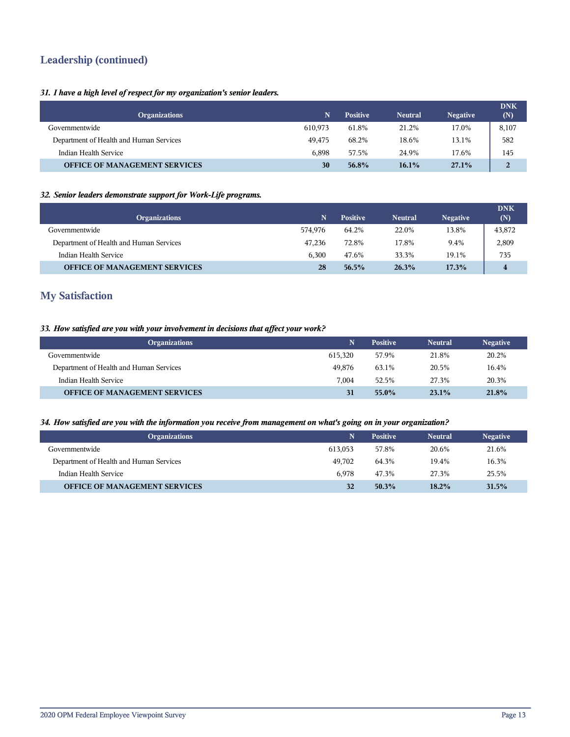## **Leadership (continued)**

## *31. I have a high level of respect for my organization's senior leaders.*

| <b>Organizations</b>                    | N       | <b>Positive</b> | <b>Neutral</b> | <b>Negative</b> | <b>DNK</b><br>(N) |
|-----------------------------------------|---------|-----------------|----------------|-----------------|-------------------|
| Governmentwide                          | 610.973 | 61.8%           | 21.2%          | 17.0%           | 8,107             |
| Department of Health and Human Services | 49.475  | 68.2%           | 18.6%          | 13.1%           | 582               |
| Indian Health Service                   | 6.898   | 57.5%           | 24.9%          | 17.6%           | 145               |
| <b>OFFICE OF MANAGEMENT SERVICES</b>    | 30      | 56.8%           | $16.1\%$       | 27.1%           | $\overline{2}$    |

### *32. Senior leaders demonstrate support for Work-Life programs.*

| <b>Organizations</b>                    | N       | <b>Positive</b> | <b>Neutral</b> | <b>Negative</b> | <b>DNK</b><br>(N) |
|-----------------------------------------|---------|-----------------|----------------|-----------------|-------------------|
| Governmentwide                          | 574.976 | 64.2%           | 22.0%          | 13.8%           | 43,872            |
| Department of Health and Human Services | 47.236  | 72.8%           | 17.8%          | 9.4%            | 2,809             |
| Indian Health Service                   | 6.300   | 47.6%           | 33.3%          | 19.1%           | 735               |
| <b>OFFICE OF MANAGEMENT SERVICES</b>    | 28      | 56.5%           | 26.3%          | 17.3%           | 4                 |

## **My Satisfaction**

### *33. How satisfied are you with your involvement in decisions that affect your work?*

| <b>Organizations</b>                    |         | <b>Positive</b> | <b>Neutral</b> | <b>Negative</b> |
|-----------------------------------------|---------|-----------------|----------------|-----------------|
| Governmentwide                          | 615.320 | 57.9%           | 21.8%          | 20.2%           |
| Department of Health and Human Services | 49,876  | 63.1%           | 20.5%          | 16.4%           |
| Indian Health Service                   | 7.004   | 52.5%           | 27.3%          | 20.3%           |
| <b>OFFICE OF MANAGEMENT SERVICES</b>    | 31      | 55.0%           | $23.1\%$       | 21.8%           |

#### *34. How satisfied are you with the information you receive from management on what's going on in your organization?*

| <b>Organizations</b>                    |         | <b>Positive</b> | <b>Neutral</b> | <b>Negative</b> |
|-----------------------------------------|---------|-----------------|----------------|-----------------|
| Governmentwide                          | 613.053 | 57.8%           | 20.6%          | 21.6%           |
| Department of Health and Human Services | 49.702  | 64.3%           | 19.4%          | 16.3%           |
| Indian Health Service                   | 6.978   | 47.3%           | 27.3%          | 25.5%           |
| <b>OFFICE OF MANAGEMENT SERVICES</b>    | 32      | $50.3\%$        | $18.2\%$       | 31.5%           |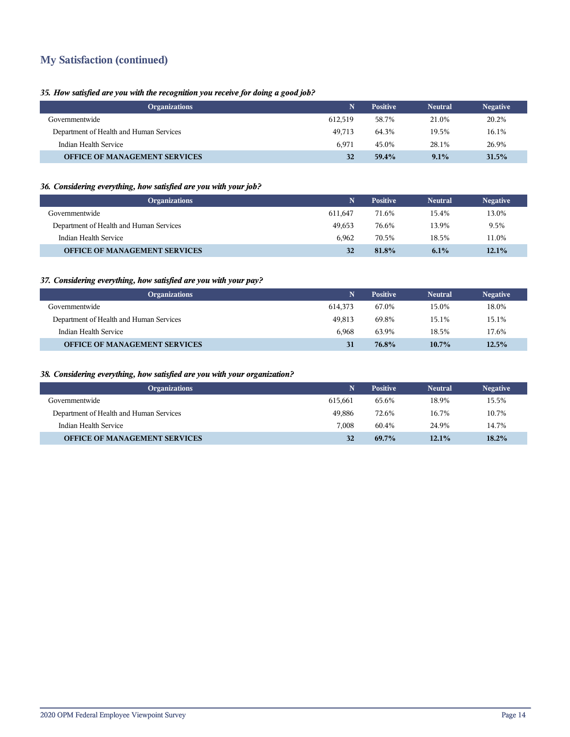## **My Satisfaction (continued)**

## *35. How satisfied are you with the recognition you receive for doing a good job?*

| <b>Organizations</b>                    |         | <b>Positive</b> | <b>Neutral</b> | <b>Negative</b> |
|-----------------------------------------|---------|-----------------|----------------|-----------------|
| Governmentwide                          | 612.519 | 58.7%           | 21.0%          | 20.2%           |
| Department of Health and Human Services | 49.713  | 64.3%           | 19.5%          | 16.1%           |
| Indian Health Service                   | 6.971   | 45.0%           | 28.1%          | 26.9%           |
| <b>OFFICE OF MANAGEMENT SERVICES</b>    | 32      | 59.4%           | 9.1%           | 31.5%           |

## *36. Considering everything, how satisfied are you with your job?*

| <b>Organizations</b>                    |         | <b>Positive</b> | <b>Neutral</b> | <b>Negative</b> |
|-----------------------------------------|---------|-----------------|----------------|-----------------|
| Governmentwide                          | 611.647 | 71.6%           | 15.4%          | 13.0%           |
| Department of Health and Human Services | 49.653  | 76.6%           | 13.9%          | 9.5%            |
| Indian Health Service                   | 6.962   | 70.5%           | 18.5%          | 11.0%           |
| <b>OFFICE OF MANAGEMENT SERVICES</b>    | 32      | 81.8%           | 6.1%           | 12.1%           |

## *37. Considering everything, how satisfied are you with your pay?*

| <b>Organizations</b>                    | N.      | <b>Positive</b> | <b>Neutral</b> | <b>Negative</b> |
|-----------------------------------------|---------|-----------------|----------------|-----------------|
| Governmentwide                          | 614.373 | 67.0%           | 15.0%          | 18.0%           |
| Department of Health and Human Services | 49.813  | 69.8%           | 15.1%          | 15.1%           |
| Indian Health Service                   | 6.968   | 63.9%           | 18.5%          | 17.6%           |
| <b>OFFICE OF MANAGEMENT SERVICES</b>    | 31      | 76.8%           | $10.7\%$       | 12.5%           |

## *38. Considering everything, how satisfied are you with your organization?*

| <b>Organizations</b>                    |         | <b>Positive</b> | <b>Neutral</b> | <b>Negative</b> |
|-----------------------------------------|---------|-----------------|----------------|-----------------|
| Governmentwide                          | 615.661 | 65.6%           | 18.9%          | 15.5%           |
| Department of Health and Human Services | 49.886  | 72.6%           | 16.7%          | 10.7%           |
| Indian Health Service                   | 7.008   | 60.4%           | 24.9%          | 14.7%           |
| <b>OFFICE OF MANAGEMENT SERVICES</b>    | 32      | $69.7\%$        | 12.1%          | 18.2%           |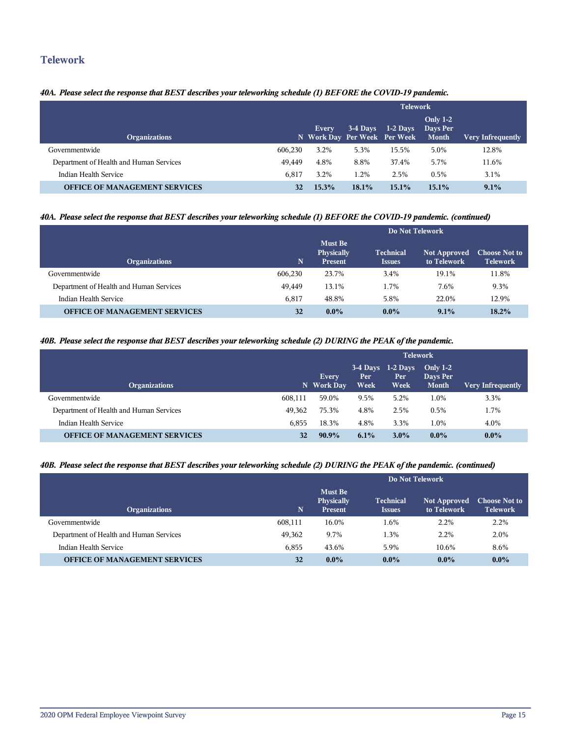## **Telework**

## *40A. Please select the response that BEST describes your teleworking schedule (1) BEFORE the COVID-19 pandemic.*

|                                         |         | <b>Telework</b>                       |            |            |                                             |                          |  |
|-----------------------------------------|---------|---------------------------------------|------------|------------|---------------------------------------------|--------------------------|--|
| <b>Organizations</b>                    |         | Every<br>N Work Day Per Week Per Week | $3-4$ Days | $1-2$ Days | <b>Only 1-2</b><br>Days Per<br><b>Month</b> | <b>Very Infrequently</b> |  |
| Governmentwide                          | 606.230 | 3.2%                                  | 5.3%       | 15.5%      | 5.0%                                        | 12.8%                    |  |
| Department of Health and Human Services | 49.449  | 4.8%                                  | 8.8%       | 37.4%      | 5.7%                                        | 11.6%                    |  |
| Indian Health Service                   | 6.817   | 3.2%                                  | 1.2%       | 2.5%       | 0.5%                                        | $3.1\%$                  |  |
| <b>OFFICE OF MANAGEMENT SERVICES</b>    | 32      | 15.3%                                 | 18.1%      | $15.1\%$   | 15.1%                                       | 9.1%                     |  |

## *40A. Please select the response that BEST describes your teleworking schedule (1) BEFORE the COVID-19 pandemic. (continued)*

|                                         |         | Do Not Telework                                |                                   |                                    |                                         |  |
|-----------------------------------------|---------|------------------------------------------------|-----------------------------------|------------------------------------|-----------------------------------------|--|
| <b>Organizations</b>                    | 'N.     | <b>Must Be</b><br><b>Physically</b><br>Present | <b>Technical</b><br><b>Issues</b> | <b>Not Approved</b><br>to Telework | <b>Choose Not to</b><br><b>Telework</b> |  |
| Governmentwide                          | 606.230 | 23.7%                                          | 3.4%                              | 19.1%                              | 11.8%                                   |  |
| Department of Health and Human Services | 49.449  | 13.1%                                          | 1.7%                              | 7.6%                               | 9.3%                                    |  |
| Indian Health Service                   | 6.817   | 48.8%                                          | 5.8%                              | 22.0%                              | 12.9%                                   |  |
| <b>OFFICE OF MANAGEMENT SERVICES</b>    | 32      | $0.0\%$                                        | $0.0\%$                           | 9.1%                               | 18.2%                                   |  |

#### *40B. Please select the response that BEST describes your teleworking schedule (2) DURING the PEAK of the pandemic.*

|                                         |         | <b>Telework</b>            |                    |                                     |                                 |                          |  |
|-----------------------------------------|---------|----------------------------|--------------------|-------------------------------------|---------------------------------|--------------------------|--|
| <b>Organizations</b>                    |         | <b>Every</b><br>N Work Day | Per<br><b>Week</b> | $3-4$ Days 1-2 Days<br>Per.<br>Week | Only $1-2$<br>Days Per<br>Month | <b>Very Infrequently</b> |  |
| Governmentwide                          | 608.111 | 59.0%                      | 9.5%               | 5.2%                                | 1.0%                            | 3.3%                     |  |
| Department of Health and Human Services | 49.362  | 75.3%                      | 4.8%               | 2.5%                                | 0.5%                            | 1.7%                     |  |
| Indian Health Service                   | 6.855   | 18.3%                      | 4.8%               | 3.3%                                | 1.0%                            | 4.0%                     |  |
| <b>OFFICE OF MANAGEMENT SERVICES</b>    | 32      | $90.9\%$                   | $6.1\%$            | $3.0\%$                             | $0.0\%$                         | $0.0\%$                  |  |

## *40B. Please select the response that BEST describes your teleworking schedule (2) DURING the PEAK of the pandemic. (continued)*

|                                         |         | Do Not Telework                         |                                                                  |         |         |  |  |
|-----------------------------------------|---------|-----------------------------------------|------------------------------------------------------------------|---------|---------|--|--|
| <b>Organizations</b>                    | 'N.     | Must Be<br><b>Physically</b><br>Present | Technical<br><b>Not Approved</b><br>to Telework<br><b>Issues</b> |         |         |  |  |
| Governmentwide                          | 608,111 | 16.0%                                   | 1.6%                                                             | 2.2%    | 2.2%    |  |  |
| Department of Health and Human Services | 49,362  | 9.7%                                    | 1.3%                                                             | 2.2%    | 2.0%    |  |  |
| Indian Health Service                   | 6.855   | 43.6%                                   | 5.9%                                                             | 10.6%   | 8.6%    |  |  |
| <b>OFFICE OF MANAGEMENT SERVICES</b>    | 32      | $0.0\%$                                 | $0.0\%$                                                          | $0.0\%$ | $0.0\%$ |  |  |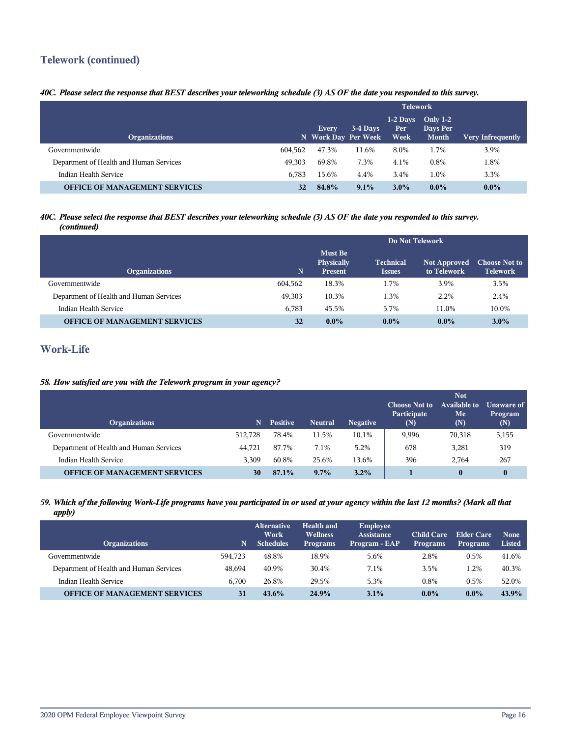## **Telework (continued)**

## *40C. Please select the response that BEST describes your teleworking schedule (3) AS OF the date you responded to this survey.*

|                                         |         | <b>Telework</b>                     |          |                           |                                        |                          |  |
|-----------------------------------------|---------|-------------------------------------|----------|---------------------------|----------------------------------------|--------------------------|--|
| <b>Organizations</b>                    |         | <b>Every</b><br>N Work Day Per Week | 3-4 Days | $1-2$ Days<br>Per<br>Week | Only $1-2$<br>Days Per<br><b>Month</b> | <b>Very Infrequently</b> |  |
| Governmentwide                          | 604.562 | 47.3%                               | 11.6%    | 8.0%                      | 1.7%                                   | 3.9%                     |  |
| Department of Health and Human Services | 49.303  | 69.8%                               | 7.3%     | 4.1%                      | 0.8%                                   | 1.8%                     |  |
| Indian Health Service                   | 6.783   | 15.6%                               | 4.4%     | 3.4%                      | 1.0%                                   | 3.3%                     |  |
| <b>OFFICE OF MANAGEMENT SERVICES</b>    | 32      | 84.8%                               | 9.1%     | $3.0\%$                   | $0.0\%$                                | $0.0\%$                  |  |

### *40C. Please select the response that BEST describes your teleworking schedule (3) AS OF the date you responded to this survey. (continued)*

|                                         |             | Do Not Telework                                       |                                   |                                    |                                         |  |
|-----------------------------------------|-------------|-------------------------------------------------------|-----------------------------------|------------------------------------|-----------------------------------------|--|
| <b>Organizations</b>                    | $\mathbf N$ | <b>Must Be</b><br><b>Physically</b><br><b>Present</b> | <b>Technical</b><br><b>Issues</b> | <b>Not Approved</b><br>to Telework | <b>Choose Not to</b><br><b>Telework</b> |  |
| Governmentwide                          | 604,562     | 18.3%                                                 | 1.7%                              | 3.9%                               | 3.5%                                    |  |
| Department of Health and Human Services | 49.303      | 10.3%                                                 | 1.3%                              | 2.2%                               | 2.4%                                    |  |
| Indian Health Service                   | 6.783       | 45.5%                                                 | 5.7%                              | 11.0%                              | 10.0%                                   |  |
| <b>OFFICE OF MANAGEMENT SERVICES</b>    | 32          | $0.0\%$                                               | $0.0\%$                           | $0.0\%$                            | 3.0%                                    |  |

## **Work-Life**

## *58. How satisfied are you with the Telework program in your agency?*

| <b>Organizations</b>                    | N       | <b>Positive</b> | <b>Neutral</b> | <b>Negative</b> | <b>Choose Not to</b><br>Participate<br>(N) | <b>Not</b><br><b>Available to</b><br>Me<br>(N) | <b>Unaware of</b><br>Program<br>(N) |
|-----------------------------------------|---------|-----------------|----------------|-----------------|--------------------------------------------|------------------------------------------------|-------------------------------------|
| Governmentwide                          | 512.728 | 78.4%           | 11.5%          | 10.1%           | 9,996                                      | 70,318                                         | 5,155                               |
| Department of Health and Human Services | 44.721  | 87.7%           | 7.1%           | 5.2%            | 678                                        | 3,281                                          | 319                                 |
| Indian Health Service                   | 3.309   | 60.8%           | 25.6%          | 13.6%           | 396                                        | 2.764                                          | 267                                 |
| <b>OFFICE OF MANAGEMENT SERVICES</b>    | 30      | 87.1%           | $9.7\%$        | 3.2%            |                                            | $\boldsymbol{0}$                               | $\bf{0}$                            |

#### *59. Which of the following Work-Life programs have you participated in or used at your agency within the last 12 months? (Mark all that apply)*

| <b>Organizations</b>                    | N       | <b>Alternative</b><br>Work<br><b>Schedules</b> | Health and<br><b>Wellness</b><br><b>Programs</b> | <b>Employee</b><br><b>Assistance</b><br>Program - EAP | <b>Child Care</b><br><b>Programs</b> | Elder Care<br><b>Programs</b> | <b>None</b><br>Listed |
|-----------------------------------------|---------|------------------------------------------------|--------------------------------------------------|-------------------------------------------------------|--------------------------------------|-------------------------------|-----------------------|
| Governmentwide                          | 594.723 | 48.8%                                          | 18.9%                                            | 5.6%                                                  | 2.8%                                 | 0.5%                          | 41.6%                 |
| Department of Health and Human Services | 48.694  | 40.9%                                          | 30.4%                                            | 7.1%                                                  | 3.5%                                 | 1.2%                          | 40.3%                 |
| Indian Health Service                   | 6.700   | 26.8%                                          | 29.5%                                            | 5.3%                                                  | 0.8%                                 | 0.5%                          | 52.0%                 |
| <b>OFFICE OF MANAGEMENT SERVICES</b>    | 31      | $43.6\%$                                       | 24.9%                                            | 3.1%                                                  | $0.0\%$                              | $0.0\%$                       | 43.9%                 |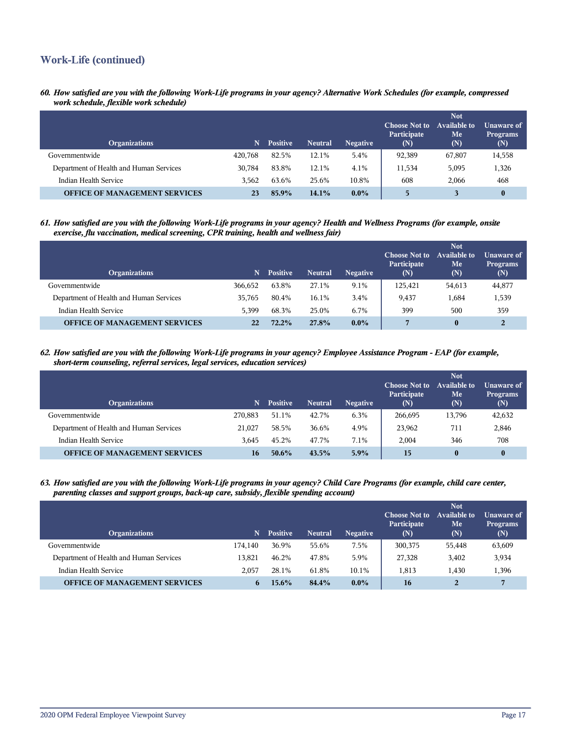## **Work-Life (continued)**

*60. How satisfied are you with the following Work-Life programs in your agency? Alternative Work Schedules (for example, compressed work schedule, flexible work schedule)*

| <b>Organizations</b>                    | N.      | <b>Positive</b> | <b>Neutral</b> | <b>Negative</b> | <b>Choose Not to</b><br>Participate<br>(N) | <b>Not</b><br><b>Available to</b><br>Me<br>(N) | <b>Unaware of</b><br><b>Programs</b><br>(N) |
|-----------------------------------------|---------|-----------------|----------------|-----------------|--------------------------------------------|------------------------------------------------|---------------------------------------------|
| Governmentwide                          | 420,768 | 82.5%           | 12.1%          | 5.4%            | 92,389                                     | 67,807                                         | 14,558                                      |
| Department of Health and Human Services | 30.784  | 83.8%           | 12.1%          | 4.1%            | 11,534                                     | 5,095                                          | 1,326                                       |
| Indian Health Service                   | 3.562   | 63.6%           | 25.6%          | 10.8%           | 608                                        | 2.066                                          | 468                                         |
| <b>OFFICE OF MANAGEMENT SERVICES</b>    | 23      | 85.9%           | 14.1%          | $0.0\%$         | 5                                          |                                                |                                             |

*61. How satisfied are you with the following Work-Life programs in your agency? Health and Wellness Programs (for example, onsite exercise, flu vaccination, medical screening, CPR training, health and wellness fair)*

| <b>Organizations</b>                    | N       | <b>Positive</b> | <b>Neutral</b> | <b>Negative</b> | <b>Choose Not to</b><br>Participate<br>(N) | <b>Not</b><br>Available to<br>Me<br>(N) | Unaware of<br><b>Programs</b><br>(N) |
|-----------------------------------------|---------|-----------------|----------------|-----------------|--------------------------------------------|-----------------------------------------|--------------------------------------|
| Governmentwide                          | 366,652 | 63.8%           | 27.1%          | 9.1%            | 125.421                                    | 54,613                                  | 44,877                               |
| Department of Health and Human Services | 35.765  | 80.4%           | 16.1%          | 3.4%            | 9,437                                      | 1,684                                   | 1,539                                |
| Indian Health Service                   | 5.399   | 68.3%           | 25.0%          | 6.7%            | 399                                        | 500                                     | 359                                  |
| <b>OFFICE OF MANAGEMENT SERVICES</b>    | 22      | 72.2%           | 27.8%          | $0.0\%$         |                                            | $\bf{0}$                                | 2                                    |

*62. How satisfied are you with the following Work-Life programs in your agency? Employee Assistance Program - EAP (for example, short-term counseling, referral services, legal services, education services)*

| <b>Organizations</b>                    | N       | <b>Positive</b> | <b>Neutral</b> | <b>Negative</b> | <b>Choose Not to</b><br>Participate<br>$(\mathbf{N})$ | <b>Not</b><br><b>Available to</b><br>Me<br>(N) | <b>Unaware of</b><br><b>Programs</b><br>(N) |
|-----------------------------------------|---------|-----------------|----------------|-----------------|-------------------------------------------------------|------------------------------------------------|---------------------------------------------|
| Governmentwide                          | 270.883 | 51.1%           | 42.7%          | 6.3%            | 266,695                                               | 13,796                                         | 42,632                                      |
| Department of Health and Human Services | 21.027  | 58.5%           | 36.6%          | 4.9%            | 23,962                                                | 711                                            | 2,846                                       |
| Indian Health Service                   | 3.645   | 45.2%           | 47.7%          | 7.1%            | 2,004                                                 | 346                                            | 708                                         |
| <b>OFFICE OF MANAGEMENT SERVICES</b>    | 16      | $50.6\%$        | 43.5%          | $5.9\%$         | 15                                                    | $\bf{0}$                                       | 0                                           |

*63. How satisfied are you with the following Work-Life programs in your agency? Child Care Programs (for example, child care center, parenting classes and support groups, back-up care, subsidy, flexible spending account)*

| <b>Organizations</b>                    | N       | <b>Positive</b> | <b>Neutral</b> | <b>Negative</b> | <b>Choose Not to</b><br>Participate<br>(N) | <b>Not</b><br><b>Available to</b><br>Me<br>(N) | Unaware of<br><b>Programs</b><br>(N) |
|-----------------------------------------|---------|-----------------|----------------|-----------------|--------------------------------------------|------------------------------------------------|--------------------------------------|
| Governmentwide                          | 174.140 | 36.9%           | 55.6%          | 7.5%            | 300,375                                    | 55,448                                         | 63,609                               |
| Department of Health and Human Services | 13.821  | 46.2%           | 47.8%          | 5.9%            | 27,328                                     | 3,402                                          | 3,934                                |
| Indian Health Service                   | 2.057   | 28.1%           | 61.8%          | 10.1%           | 1.813                                      | 1.430                                          | 1,396                                |
| <b>OFFICE OF MANAGEMENT SERVICES</b>    |         | 15.6%           | 84.4%          | $0.0\%$         | 16                                         |                                                |                                      |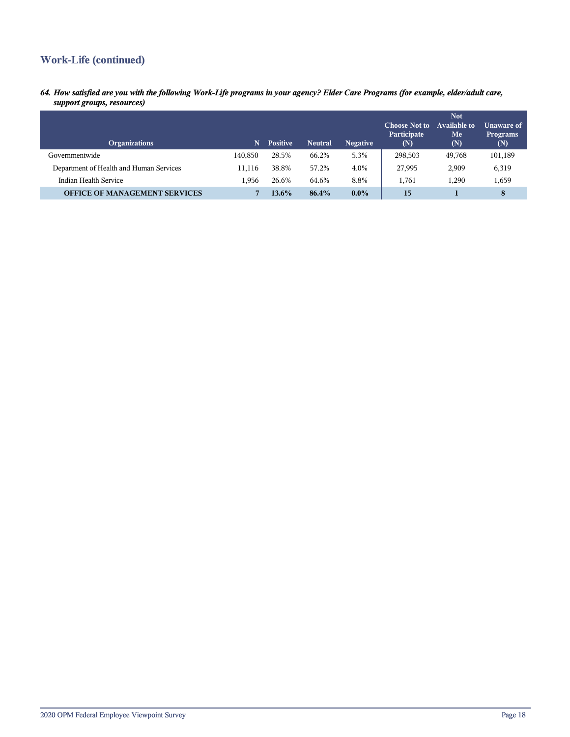## **Work-Life (continued)**

*64. How satisfied are you with the following Work-Life programs in your agency? Elder Care Programs (for example, elder/adult care, support groups, resources)*

| <b>Organizations</b>                    | N       | <b>Positive</b> | <b>Neutral</b> | <b>Negative</b> | <b>Choose Not to</b><br>Participate<br>(N) | <b>Not</b><br><b>Available to</b><br>Me<br>(N) | <b>Unaware of</b><br><b>Programs</b><br>(N) |
|-----------------------------------------|---------|-----------------|----------------|-----------------|--------------------------------------------|------------------------------------------------|---------------------------------------------|
| Governmentwide                          | 140,850 | 28.5%           | 66.2%          | 5.3%            | 298,503                                    | 49,768                                         | 101,189                                     |
| Department of Health and Human Services | 11.116  | 38.8%           | 57.2%          | 4.0%            | 27,995                                     | 2,909                                          | 6,319                                       |
| Indian Health Service                   | 1.956   | 26.6%           | 64.6%          | 8.8%            | 1.761                                      | 1.290                                          | 1,659                                       |
| <b>OFFICE OF MANAGEMENT SERVICES</b>    |         | $13.6\%$        | 86.4%          | $0.0\%$         | 15                                         |                                                | 8                                           |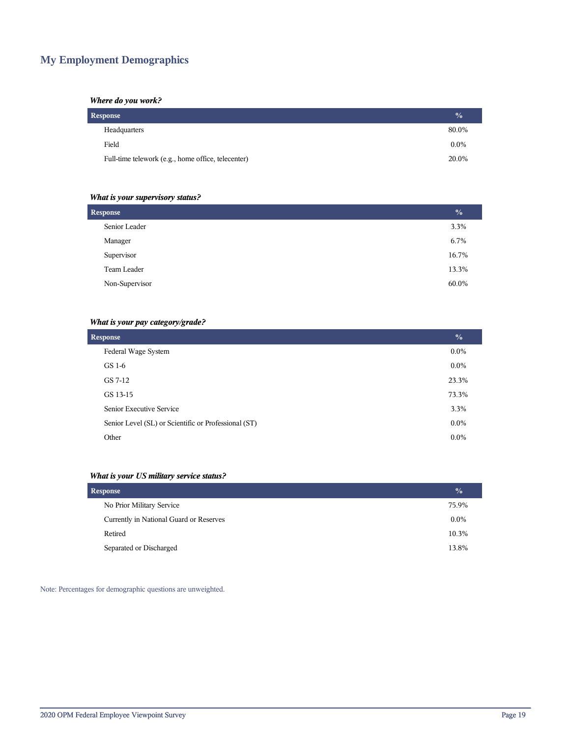## **My Employment Demographics**

### *Where do you work?*

| Response                                           | $\frac{0}{2}$ |
|----------------------------------------------------|---------------|
| Headquarters                                       | 80.0%         |
| Field                                              | $0.0\%$       |
| Full-time telework (e.g., home office, telecenter) | 20.0%         |

## *What is your supervisory status?*

| <b>Response</b> |       |  |  |
|-----------------|-------|--|--|
| Senior Leader   | 3.3%  |  |  |
| Manager         | 6.7%  |  |  |
| Supervisor      | 16.7% |  |  |
| Team Leader     | 13.3% |  |  |
| Non-Supervisor  | 60.0% |  |  |
|                 |       |  |  |

## *What is your pay category/grade?*

| <b>Response</b>                                      |         |  |
|------------------------------------------------------|---------|--|
| Federal Wage System                                  | $0.0\%$ |  |
| GS 1-6                                               | $0.0\%$ |  |
| GS 7-12                                              | 23.3%   |  |
| GS 13-15                                             | 73.3%   |  |
| Senior Executive Service                             | 3.3%    |  |
| Senior Level (SL) or Scientific or Professional (ST) | $0.0\%$ |  |
| Other                                                | $0.0\%$ |  |

## *What is your US military service status?*

| <b>Response</b>                         | $\frac{0}{0}$ |
|-----------------------------------------|---------------|
| No Prior Military Service               | 75.9%         |
| Currently in National Guard or Reserves | $0.0\%$       |
| Retired                                 | 10.3%         |
| Separated or Discharged                 | 13.8%         |

Note: Percentages for demographic questions are unweighted.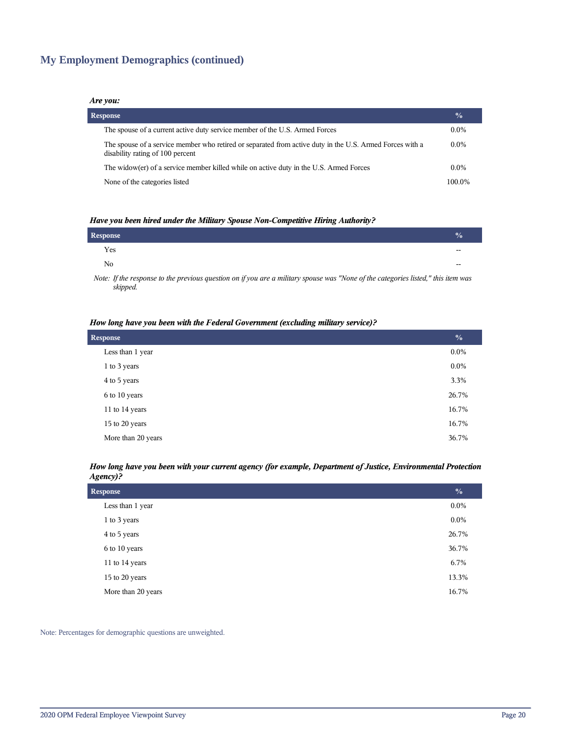## **My Employment Demographics (continued)**

#### *Are you:*

| <b>Response</b>                                                                                                                              | $\frac{0}{0}$ |
|----------------------------------------------------------------------------------------------------------------------------------------------|---------------|
| The spouse of a current active duty service member of the U.S. Armed Forces                                                                  | $0.0\%$       |
| The spouse of a service member who retired or separated from active duty in the U.S. Armed Forces with a<br>disability rating of 100 percent | $0.0\%$       |
| The widow(er) of a service member killed while on active duty in the U.S. Armed Forces                                                       | $0.0\%$       |
| None of the categories listed                                                                                                                | 100.0%        |

#### *Have you been hired under the Military Spouse Non-Competitive Hiring Authority?*

| Response       |       |
|----------------|-------|
| Yes            | $- -$ |
| N <sub>0</sub> | $- -$ |
|                |       |

*Note: If the response to the previous question on if you are a military spouse was "None of the categories listed," this item was skipped.*

#### *How long have you been with the Federal Government (excluding military service)?*

| <b>Response</b>    |         |  |
|--------------------|---------|--|
| Less than 1 year   | $0.0\%$ |  |
| 1 to 3 years       | $0.0\%$ |  |
| 4 to 5 years       | 3.3%    |  |
| 6 to 10 years      | 26.7%   |  |
| 11 to 14 years     | 16.7%   |  |
| 15 to 20 years     | 16.7%   |  |
| More than 20 years | 36.7%   |  |

#### *How long have you been with your current agency (for example, Department of Justice, Environmental Protection Agency)?*

| <b>Response</b>    |         |  |
|--------------------|---------|--|
| Less than 1 year   | $0.0\%$ |  |
| 1 to 3 years       | $0.0\%$ |  |
| 4 to 5 years       | 26.7%   |  |
| 6 to 10 years      | 36.7%   |  |
| 11 to 14 years     | 6.7%    |  |
| 15 to 20 years     | 13.3%   |  |
| More than 20 years | 16.7%   |  |

Note: Percentages for demographic questions are unweighted.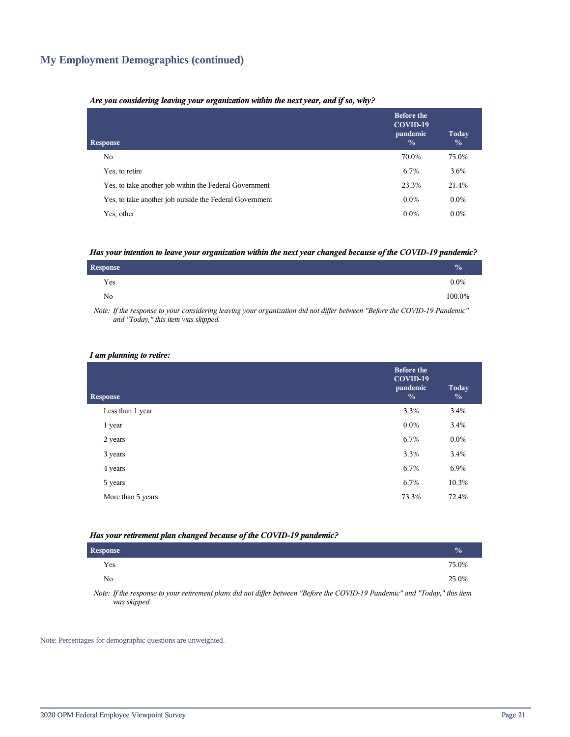## **My Employment Demographics (continued)**

#### *Are you considering leaving your organization within the next year, and if so, why?*

| <b>Response</b>                                         | <b>Before the</b><br>COVID-19<br>pandemic<br>$\frac{0}{0}$ | Today<br>$\frac{0}{0}$ |
|---------------------------------------------------------|------------------------------------------------------------|------------------------|
| No.                                                     | 70.0%                                                      | 75.0%                  |
| Yes, to retire                                          | 6.7%                                                       | 3.6%                   |
| Yes, to take another job within the Federal Government  | 23.3%                                                      | 21.4%                  |
| Yes, to take another job outside the Federal Government | $0.0\%$                                                    | $0.0\%$                |
| Yes, other                                              | $0.0\%$                                                    | $0.0\%$                |

#### *Has your intention to leave your organization within the next year changed because of the COVID-19 pandemic?*

| Response | $\frac{0}{0}$ |  |
|----------|---------------|--|
| Yes      | $0.0\%$       |  |
| No       | 100.0%        |  |

*Note: If the response to your considering leaving your organization did not differ between "Before the COVID-19 Pandemic" and "Today," this item was skipped.*

#### *I am planning to retire:*

| <b>Response</b>   | <b>Before the</b><br>COVID-19<br>pandemic<br>$\frac{0}{0}$ | Today<br>$\frac{0}{0}$ |
|-------------------|------------------------------------------------------------|------------------------|
| Less than 1 year  | 3.3%                                                       | 3.4%                   |
| 1 year            | $0.0\%$                                                    | 3.4%                   |
| 2 years           | 6.7%                                                       | $0.0\%$                |
| 3 years           | 3.3%                                                       | 3.4%                   |
| 4 years           | 6.7%                                                       | 6.9%                   |
| 5 years           | 6.7%                                                       | 10.3%                  |
| More than 5 years | 73.3%                                                      | 72.4%                  |
|                   |                                                            |                        |

#### *Has your retirement plan changed because of the COVID-19 pandemic?*

| Response     |  |  |  |  |                                                                                                                                                           |  | $\mathcal{O}_0$ |  |
|--------------|--|--|--|--|-----------------------------------------------------------------------------------------------------------------------------------------------------------|--|-----------------|--|
| Yes          |  |  |  |  |                                                                                                                                                           |  | 75.0%           |  |
| No           |  |  |  |  |                                                                                                                                                           |  | 25.0%           |  |
| $\mathbf{v}$ |  |  |  |  | $\mathcal{L}$ , and $\mathcal{L}$ , and $\mathcal{L}$ , and $\mathcal{L}$ , and $\mathcal{L}$ , and $\mathcal{L}$ , and $\mathcal{L}$ , and $\mathcal{L}$ |  |                 |  |

*Note: If the response to your retirement plans did not differ between "Before the COVID-19 Pandemic" and "Today," this item was skipped.*

Note: Percentages for demographic questions are unweighted.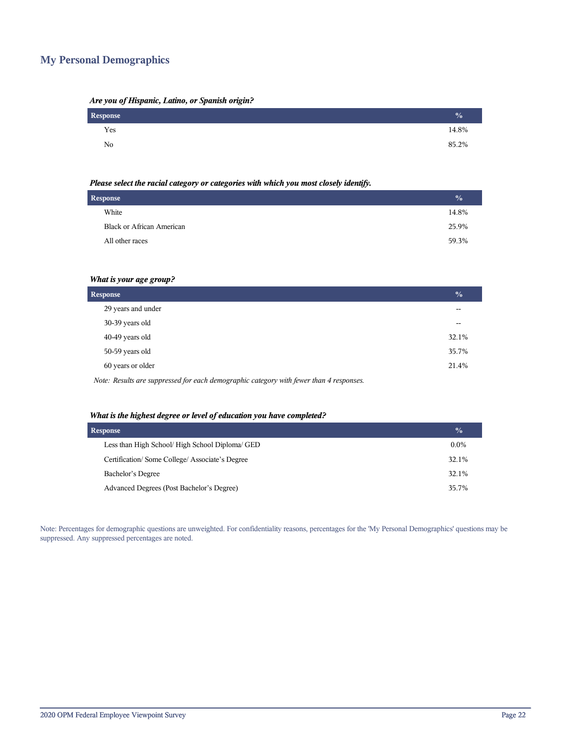## **My Personal Demographics**

| Are you of Hispanic, Latino, or Spanish origin? |  |  |  |
|-------------------------------------------------|--|--|--|
|                                                 |  |  |  |

| Response | $\frac{1}{2}$ |
|----------|---------------|
| Yes      | 14.8%         |
| No       | 85.2%         |

#### *Please select the racial category or categories with which you most closely identify.*

| <b>Response</b> |                                  | $\frac{0}{0}$ |
|-----------------|----------------------------------|---------------|
|                 | White                            | 14.8%         |
|                 | <b>Black or African American</b> | 25.9%         |
|                 | All other races                  | 59.3%         |
|                 |                                  |               |

#### *What is your age group?*

| <b>Response</b>                                                                         |       |  |
|-----------------------------------------------------------------------------------------|-------|--|
| 29 years and under                                                                      |       |  |
| 30-39 years old                                                                         | --    |  |
| 40-49 years old                                                                         | 32.1% |  |
| 50-59 years old                                                                         | 35.7% |  |
| 60 years or older                                                                       | 21.4% |  |
| Note: Results are suppressed for each demographic category with fewer than 4 responses. |       |  |

## *What is the highest degree or level of education you have completed?*

| <b>Response</b>                                 |         |  |  |
|-------------------------------------------------|---------|--|--|
| Less than High School/ High School Diploma/ GED | $0.0\%$ |  |  |
| Certification/Some College/Associate's Degree   | 32.1%   |  |  |
| Bachelor's Degree                               | 32.1%   |  |  |
| Advanced Degrees (Post Bachelor's Degree)       | 35.7%   |  |  |

Note: Percentages for demographic questions are unweighted. For confidentiality reasons, percentages for the 'My Personal Demographics' questions may be suppressed. Any suppressed percentages are noted.